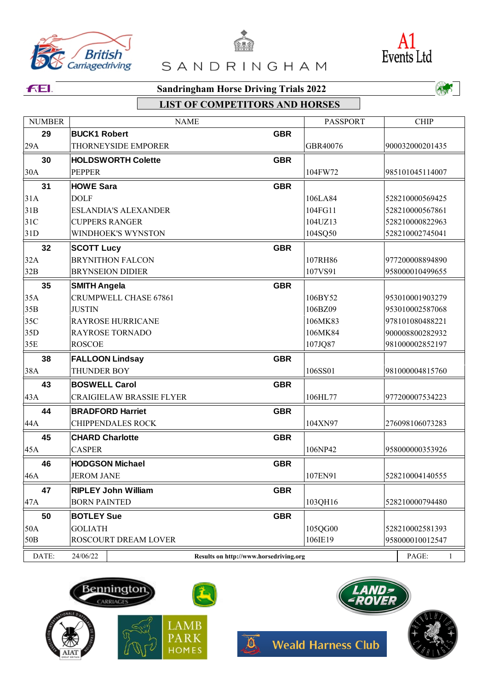





### **FEI.**

## **LIST OF COMPETITORS AND HORSES**

| <b>EXAMPLE AND DESCRIPTION AND REAL PARK</b><br>MATTER HOMES Meald Harness Club |  |  |  |
|---------------------------------------------------------------------------------|--|--|--|
|                                                                                 |  |  |  |